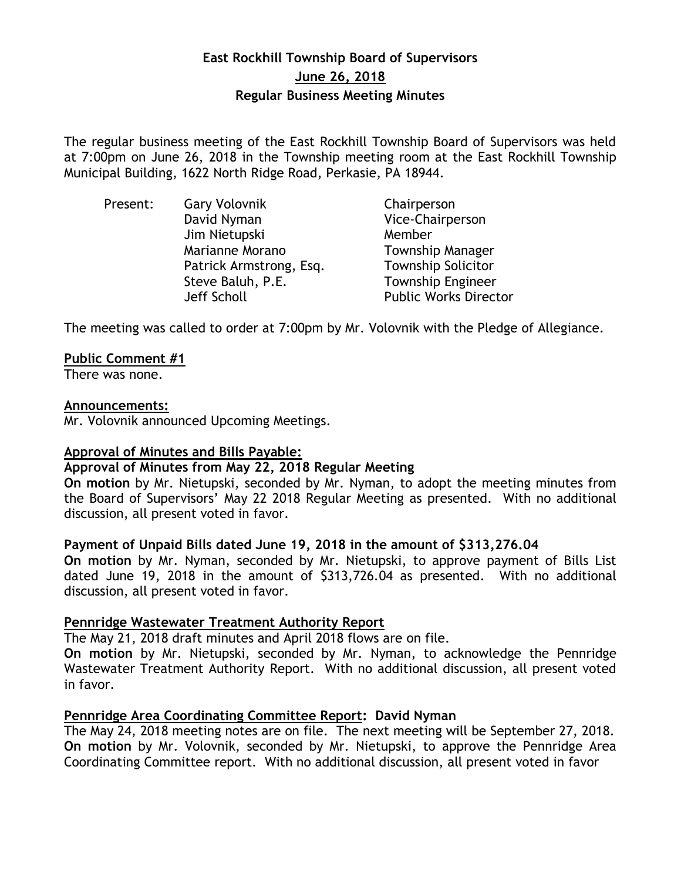# **East Rockhill Township Board of Supervisors June 26, 2018 Regular Business Meeting Minutes**

The regular business meeting of the East Rockhill Township Board of Supervisors was held at 7:00pm on June 26, 2018 in the Township meeting room at the East Rockhill Township Municipal Building, 1622 North Ridge Road, Perkasie, PA 18944.

| Present: | <b>Gary Volovnik</b>    | Chairperson                  |
|----------|-------------------------|------------------------------|
|          | David Nyman             | Vice-Chairperson             |
|          | Jim Nietupski           | Member                       |
|          | Marianne Morano         | <b>Township Manager</b>      |
|          | Patrick Armstrong, Esq. | <b>Township Solicitor</b>    |
|          | Steve Baluh, P.E.       | <b>Township Engineer</b>     |
|          | Jeff Scholl             | <b>Public Works Director</b> |

The meeting was called to order at 7:00pm by Mr. Volovnik with the Pledge of Allegiance.

### **Public Comment #1**

There was none.

#### **Announcements:**

Mr. Volovnik announced Upcoming Meetings.

#### **Approval of Minutes and Bills Payable:**

#### **Approval of Minutes from May 22, 2018 Regular Meeting**

**On motion** by Mr. Nietupski, seconded by Mr. Nyman, to adopt the meeting minutes from the Board of Supervisors' May 22 2018 Regular Meeting as presented. With no additional discussion, all present voted in favor.

### **Payment of Unpaid Bills dated June 19, 2018 in the amount of \$313,276.04**

**On motion** by Mr. Nyman, seconded by Mr. Nietupski, to approve payment of Bills List dated June 19, 2018 in the amount of \$313,726.04 as presented. With no additional discussion, all present voted in favor.

### **Pennridge Wastewater Treatment Authority Report**

The May 21, 2018 draft minutes and April 2018 flows are on file.

**On motion** by Mr. Nietupski, seconded by Mr. Nyman, to acknowledge the Pennridge Wastewater Treatment Authority Report. With no additional discussion, all present voted in favor.

### **Pennridge Area Coordinating Committee Report: David Nyman**

The May 24, 2018 meeting notes are on file. The next meeting will be September 27, 2018. **On motion** by Mr. Volovnik, seconded by Mr. Nietupski, to approve the Pennridge Area Coordinating Committee report. With no additional discussion, all present voted in favor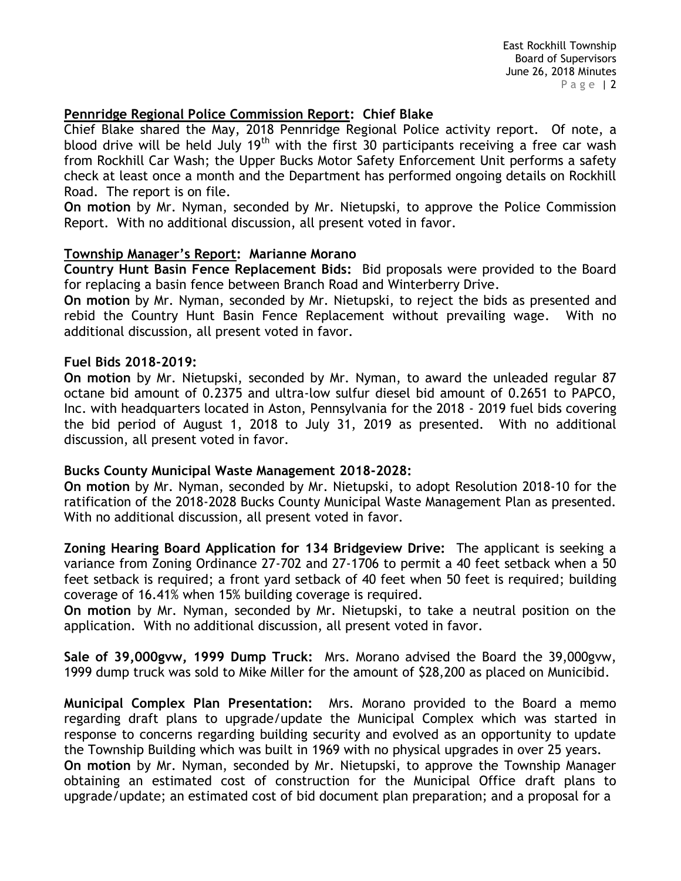## **Pennridge Regional Police Commission Report: Chief Blake**

Chief Blake shared the May, 2018 Pennridge Regional Police activity report. Of note, a blood drive will be held July 19<sup>th</sup> with the first 30 participants receiving a free car wash from Rockhill Car Wash; the Upper Bucks Motor Safety Enforcement Unit performs a safety check at least once a month and the Department has performed ongoing details on Rockhill Road. The report is on file.

**On motion** by Mr. Nyman, seconded by Mr. Nietupski, to approve the Police Commission Report. With no additional discussion, all present voted in favor.

#### **Township Manager's Report: Marianne Morano**

**Country Hunt Basin Fence Replacement Bids:** Bid proposals were provided to the Board for replacing a basin fence between Branch Road and Winterberry Drive.

**On motion** by Mr. Nyman, seconded by Mr. Nietupski, to reject the bids as presented and rebid the Country Hunt Basin Fence Replacement without prevailing wage. With no additional discussion, all present voted in favor.

#### **Fuel Bids 2018-2019:**

**On motion** by Mr. Nietupski, seconded by Mr. Nyman, to award the unleaded regular 87 octane bid amount of 0.2375 and ultra-low sulfur diesel bid amount of 0.2651 to PAPCO, Inc. with headquarters located in Aston, Pennsylvania for the 2018 - 2019 fuel bids covering the bid period of August 1, 2018 to July 31, 2019 as presented. With no additional discussion, all present voted in favor.

#### **Bucks County Municipal Waste Management 2018-2028:**

**On motion** by Mr. Nyman, seconded by Mr. Nietupski, to adopt Resolution 2018-10 for the ratification of the 2018-2028 Bucks County Municipal Waste Management Plan as presented. With no additional discussion, all present voted in favor.

**Zoning Hearing Board Application for 134 Bridgeview Drive:** The applicant is seeking a variance from Zoning Ordinance 27-702 and 27-1706 to permit a 40 feet setback when a 50 feet setback is required; a front yard setback of 40 feet when 50 feet is required; building coverage of 16.41% when 15% building coverage is required.

**On motion** by Mr. Nyman, seconded by Mr. Nietupski, to take a neutral position on the application. With no additional discussion, all present voted in favor.

**Sale of 39,000gvw, 1999 Dump Truck:** Mrs. Morano advised the Board the 39,000gvw, 1999 dump truck was sold to Mike Miller for the amount of \$28,200 as placed on Municibid.

**Municipal Complex Plan Presentation:** Mrs. Morano provided to the Board a memo regarding draft plans to upgrade/update the Municipal Complex which was started in response to concerns regarding building security and evolved as an opportunity to update the Township Building which was built in 1969 with no physical upgrades in over 25 years. **On motion** by Mr. Nyman, seconded by Mr. Nietupski, to approve the Township Manager obtaining an estimated cost of construction for the Municipal Office draft plans to upgrade/update; an estimated cost of bid document plan preparation; and a proposal for a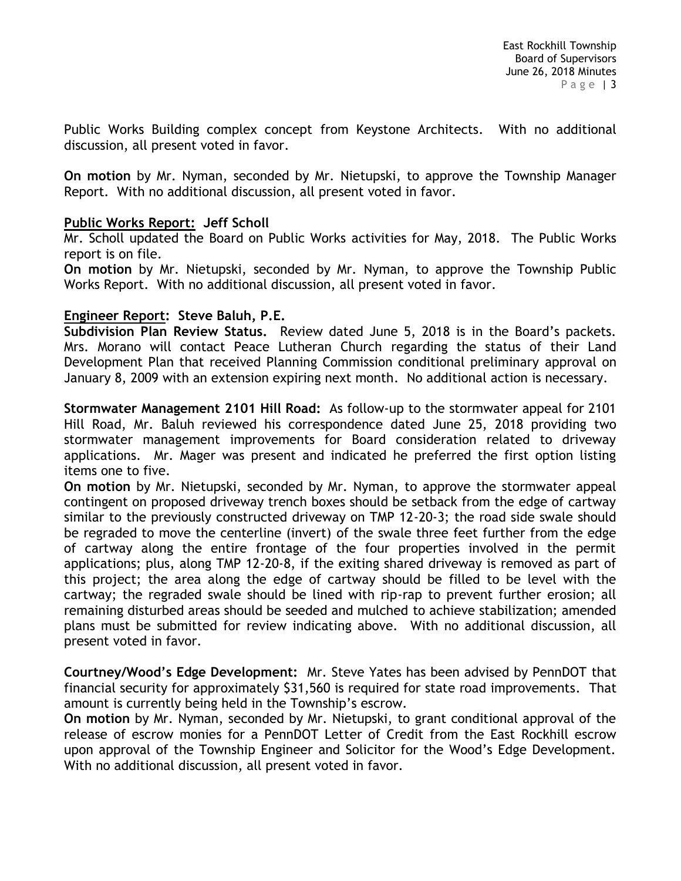Public Works Building complex concept from Keystone Architects. With no additional discussion, all present voted in favor.

**On motion** by Mr. Nyman, seconded by Mr. Nietupski, to approve the Township Manager Report. With no additional discussion, all present voted in favor.

### **Public Works Report: Jeff Scholl**

Mr. Scholl updated the Board on Public Works activities for May, 2018. The Public Works report is on file.

**On motion** by Mr. Nietupski, seconded by Mr. Nyman, to approve the Township Public Works Report. With no additional discussion, all present voted in favor.

### **Engineer Report: Steve Baluh, P.E.**

**Subdivision Plan Review Status.** Review dated June 5, 2018 is in the Board's packets. Mrs. Morano will contact Peace Lutheran Church regarding the status of their Land Development Plan that received Planning Commission conditional preliminary approval on January 8, 2009 with an extension expiring next month. No additional action is necessary.

**Stormwater Management 2101 Hill Road:** As follow-up to the stormwater appeal for 2101 Hill Road, Mr. Baluh reviewed his correspondence dated June 25, 2018 providing two stormwater management improvements for Board consideration related to driveway applications. Mr. Mager was present and indicated he preferred the first option listing items one to five.

**On motion** by Mr. Nietupski, seconded by Mr. Nyman, to approve the stormwater appeal contingent on proposed driveway trench boxes should be setback from the edge of cartway similar to the previously constructed driveway on TMP 12-20-3; the road side swale should be regraded to move the centerline (invert) of the swale three feet further from the edge of cartway along the entire frontage of the four properties involved in the permit applications; plus, along TMP 12-20-8, if the exiting shared driveway is removed as part of this project; the area along the edge of cartway should be filled to be level with the cartway; the regraded swale should be lined with rip-rap to prevent further erosion; all remaining disturbed areas should be seeded and mulched to achieve stabilization; amended plans must be submitted for review indicating above. With no additional discussion, all present voted in favor.

**Courtney/Wood's Edge Development:** Mr. Steve Yates has been advised by PennDOT that financial security for approximately \$31,560 is required for state road improvements. That amount is currently being held in the Township's escrow.

**On motion** by Mr. Nyman, seconded by Mr. Nietupski, to grant conditional approval of the release of escrow monies for a PennDOT Letter of Credit from the East Rockhill escrow upon approval of the Township Engineer and Solicitor for the Wood's Edge Development. With no additional discussion, all present voted in favor.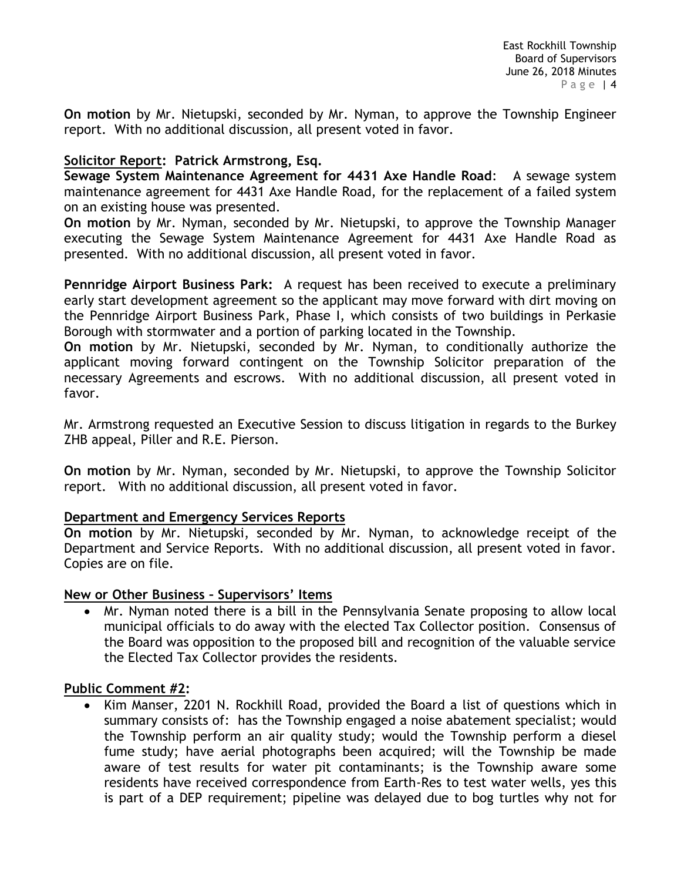**On motion** by Mr. Nietupski, seconded by Mr. Nyman, to approve the Township Engineer report. With no additional discussion, all present voted in favor.

### **Solicitor Report: Patrick Armstrong, Esq.**

**Sewage System Maintenance Agreement for 4431 Axe Handle Road:** A sewage system maintenance agreement for 4431 Axe Handle Road, for the replacement of a failed system on an existing house was presented.

**On motion** by Mr. Nyman, seconded by Mr. Nietupski, to approve the Township Manager executing the Sewage System Maintenance Agreement for 4431 Axe Handle Road as presented. With no additional discussion, all present voted in favor.

**Pennridge Airport Business Park:** A request has been received to execute a preliminary early start development agreement so the applicant may move forward with dirt moving on the Pennridge Airport Business Park, Phase I, which consists of two buildings in Perkasie Borough with stormwater and a portion of parking located in the Township.

**On motion** by Mr. Nietupski, seconded by Mr. Nyman, to conditionally authorize the applicant moving forward contingent on the Township Solicitor preparation of the necessary Agreements and escrows. With no additional discussion, all present voted in favor.

Mr. Armstrong requested an Executive Session to discuss litigation in regards to the Burkey ZHB appeal, Piller and R.E. Pierson.

**On motion** by Mr. Nyman, seconded by Mr. Nietupski, to approve the Township Solicitor report. With no additional discussion, all present voted in favor.

### **Department and Emergency Services Reports**

**On motion** by Mr. Nietupski, seconded by Mr. Nyman, to acknowledge receipt of the Department and Service Reports. With no additional discussion, all present voted in favor. Copies are on file.

### **New or Other Business – Supervisors' Items**

 Mr. Nyman noted there is a bill in the Pennsylvania Senate proposing to allow local municipal officials to do away with the elected Tax Collector position. Consensus of the Board was opposition to the proposed bill and recognition of the valuable service the Elected Tax Collector provides the residents.

### **Public Comment #2:**

• Kim Manser, 2201 N. Rockhill Road, provided the Board a list of questions which in summary consists of: has the Township engaged a noise abatement specialist; would the Township perform an air quality study; would the Township perform a diesel fume study; have aerial photographs been acquired; will the Township be made aware of test results for water pit contaminants; is the Township aware some residents have received correspondence from Earth-Res to test water wells, yes this is part of a DEP requirement; pipeline was delayed due to bog turtles why not for